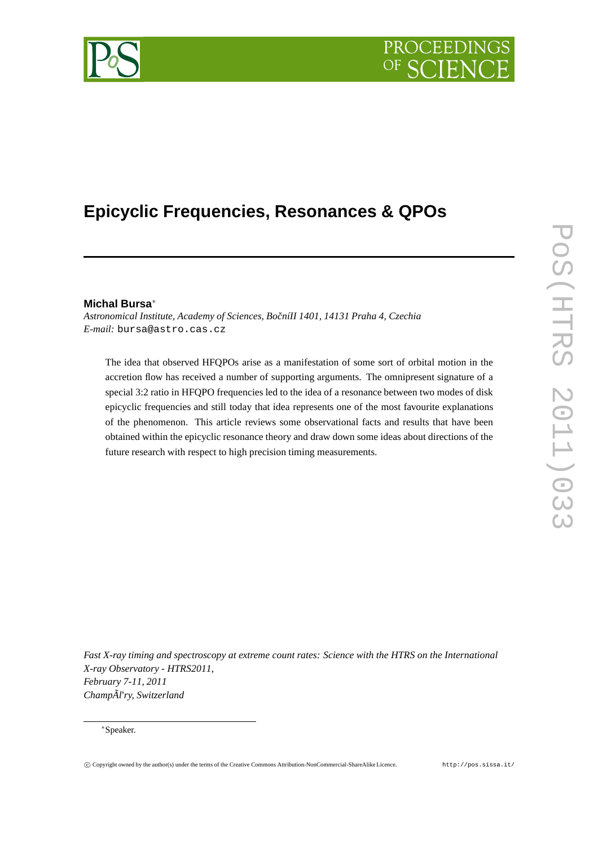# PROCEEDIN



# **Epicyclic Frequencies, Resonances & QPOs**

# **Michal Bursa**<sup>∗</sup>

*Astronomical Institute, Academy of Sciences, BoˇcníII 1401, 14131 Praha 4, Czechia E-mail:* bursa@astro.cas.cz

The idea that observed HFQPOs arise as a manifestation of some sort of orbital motion in the accretion flow has received a number of supporting arguments. The omnipresent signature of a special 3:2 ratio in HFQPO frequencies led to the idea of a resonance between two modes of disk epicyclic frequencies and still today that idea represents one of the most favourite explanations of the phenomenon. This article reviews some observational facts and results that have been obtained within the epicyclic resonance theory and draw down some ideas about directions of the future research with respect to high precision timing measurements.

*Fast X-ray timing and spectroscopy at extreme count rates: Science with the HTRS on the International X-ray Observatory - HTRS2011, February 7-11, 2011 ChampÃl'ry, Switzerland*

<sup>∗</sup>Speaker.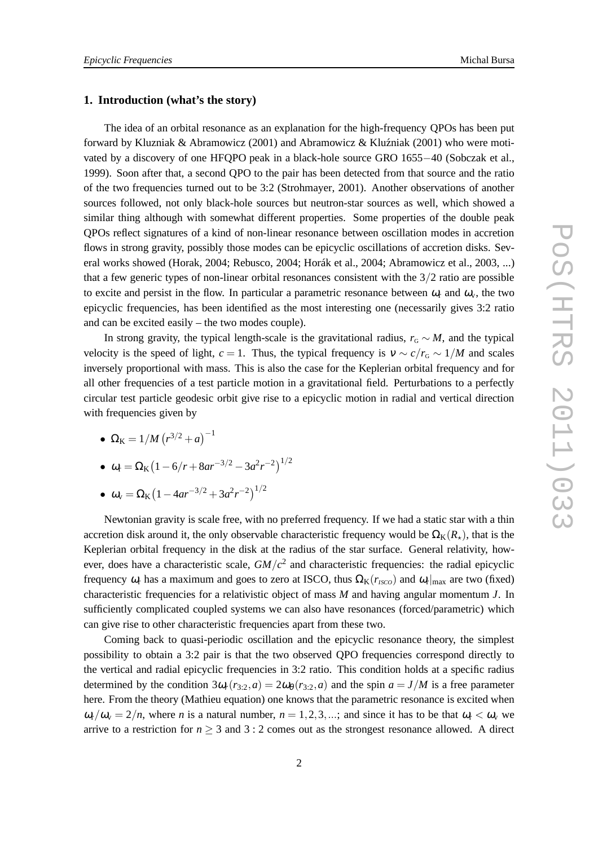#### **1. Introduction (what's the story)**

The idea of an orbital resonance as an explanation for the high-frequency QPOs has been put forward by Kluzniak & Abramowicz (2001) and Abramowicz & Kluźniak (2001) who were motivated by a discovery of one HFQPO peak in a black-hole source GRO 1655−40 (Sobczak et al., 1999). Soon after that, a second QPO to the pair has been detected from that source and the ratio of the two frequencies turned out to be 3:2 (Strohmayer, 2001). Another observations of another sources followed, not only black-hole sources but neutron-star sources as well, which showed a similar thing although with somewhat different properties. Some properties of the double peak QPOs reflect signatures of a kind of non-linear resonance between oscillation modes in accretion flows in strong gravity, possibly those modes can be epicyclic oscillations of accretion disks. Several works showed (Horak, 2004; Rebusco, 2004; Horák et al., 2004; Abramowicz et al., 2003, ...) that a few generic types of non-linear orbital resonances consistent with the  $3/2$  ratio are possible to excite and persist in the flow. In particular a parametric resonance between  $\omega_r$  and  $\omega_v$ , the two epicyclic frequencies, has been identified as the most interesting one (necessarily gives 3:2 ratio and can be excited easily – the two modes couple).

In strong gravity, the typical length-scale is the gravitational radius,  $r_G \sim M$ , and the typical velocity is the speed of light,  $c = 1$ . Thus, the typical frequency is  $v \sim c/r<sub>G</sub> \sim 1/M$  and scales inversely proportional with mass. This is also the case for the Keplerian orbital frequency and for all other frequencies of a test particle motion in a gravitational field. Perturbations to a perfectly circular test particle geodesic orbit give rise to a epicyclic motion in radial and vertical direction with frequencies given by

- $\Omega_{\rm K} = 1/M (r^{3/2} + a)^{-1}$
- $\omega_r = \Omega_K (1 6/r + 8ar^{-3/2} 3a^2r^{-2})^{1/2}$
- $\bullet \ \omega_{v} = \Omega_{K} (1 4ar^{-3/2} + 3a^{2}r^{-2})^{1/2}$

Newtonian gravity is scale free, with no preferred frequency. If we had a static star with a thin accretion disk around it, the only observable characteristic frequency would be  $\Omega_K(R_{\star})$ , that is the Keplerian orbital frequency in the disk at the radius of the star surface. General relativity, however, does have a characteristic scale, *GM*/*c* 2 and characteristic frequencies: the radial epicyclic frequency  $\omega_r$  has a maximum and goes to zero at ISCO, thus  $\Omega_K(r_{ISCO})$  and  $\omega_r|_{\text{max}}$  are two (fixed) characteristic frequencies for a relativistic object of mass *M* and having angular momentum *J*. In sufficiently complicated coupled systems we can also have resonances (forced/parametric) which can give rise to other characteristic frequencies apart from these two.

Coming back to quasi-periodic oscillation and the epicyclic resonance theory, the simplest possibility to obtain a 3:2 pair is that the two observed QPO frequencies correspond directly to the vertical and radial epicyclic frequencies in 3:2 ratio. This condition holds at a specific radius determined by the condition  $3\omega_r(r_{3:2}, a) = 2\omega_\theta(r_{3:2}, a)$  and the spin  $a = J/M$  is a free parameter here. From the theory (Mathieu equation) one knows that the parametric resonance is excited when  $\omega_r/\omega_v = 2/n$ , where *n* is a natural number,  $n = 1, 2, 3, ...$ ; and since it has to be that  $\omega_r < \omega_v$  we arrive to a restriction for  $n \geq 3$  and  $3:2$  comes out as the strongest resonance allowed. A direct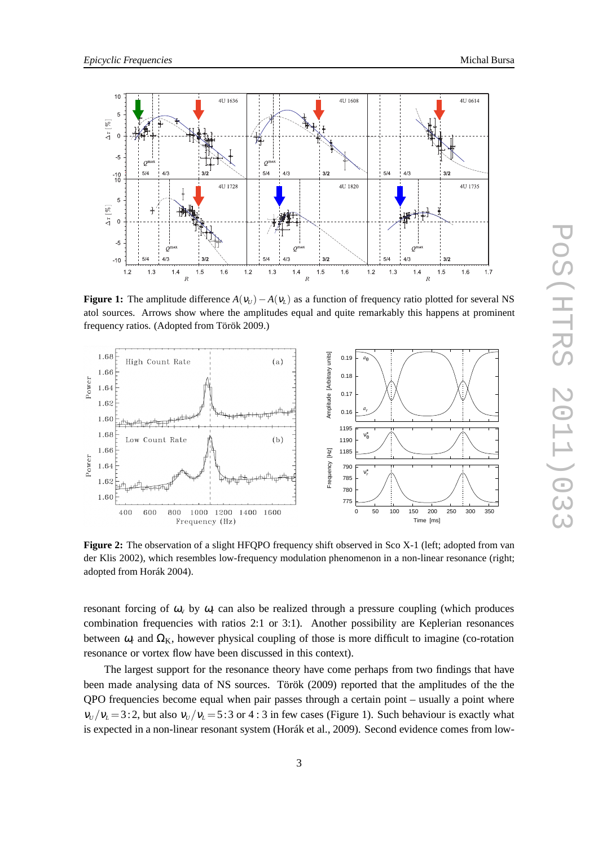

**Figure 1:** The amplitude difference  $A(v_U) - A(v_L)$  as a function of frequency ratio plotted for several NS atol sources. Arrows show where the amplitudes equal and quite remarkably this happens at prominent frequency ratios. (Adopted from Török 2009.)



Figure 2: The observation of a slight HFQPO frequency shift observed in Sco X-1 (left; adopted from van der Klis 2002), which resembles low-frequency modulation phenomenon in a non-linear resonance (right; adopted from Horák 2004).

resonant forcing of  $\omega_v$  by  $\omega_r$  can also be realized through a pressure coupling (which produces combination frequencies with ratios 2:1 or 3:1). Another possibility are Keplerian resonances between  $\omega_r$  and  $\Omega_k$ , however physical coupling of those is more difficult to imagine (co-rotation resonance or vortex flow have been discussed in this context).

The largest support for the resonance theory have come perhaps from two findings that have been made analysing data of NS sources. Török (2009) reported that the amplitudes of the the QPO frequencies become equal when pair passes through a certain point – usually a point where  $v_U/v_L = 3:2$ , but also  $v_U/v_L = 5:3$  or 4 : 3 in few cases (Figure 1). Such behaviour is exactly what is expected in a non-linear resonant system (Horák et al., 2009). Second evidence comes from low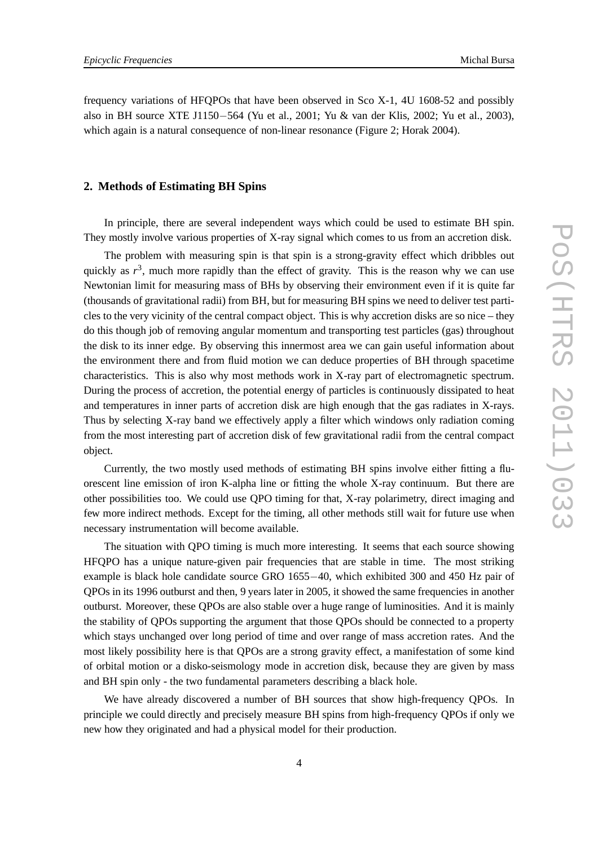frequency variations of HFQPOs that have been observed in Sco X-1, 4U 1608-52 and possibly also in BH source XTE J1150−564 (Yu et al., 2001; Yu & van der Klis, 2002; Yu et al., 2003), which again is a natural consequence of non-linear resonance (Figure 2; Horak 2004).

#### **2. Methods of Estimating BH Spins**

In principle, there are several independent ways which could be used to estimate BH spin. They mostly involve various properties of X-ray signal which comes to us from an accretion disk.

The problem with measuring spin is that spin is a strong-gravity effect which dribbles out quickly as  $r^3$ , much more rapidly than the effect of gravity. This is the reason why we can use Newtonian limit for measuring mass of BHs by observing their environment even if it is quite far (thousands of gravitational radii) from BH, but for measuring BH spins we need to deliver test particles to the very vicinity of the central compact object. This is why accretion disks are so nice – they do this though job of removing angular momentum and transporting test particles (gas) throughout the disk to its inner edge. By observing this innermost area we can gain useful information about the environment there and from fluid motion we can deduce properties of BH through spacetime characteristics. This is also why most methods work in X-ray part of electromagnetic spectrum. During the process of accretion, the potential energy of particles is continuously dissipated to heat and temperatures in inner parts of accretion disk are high enough that the gas radiates in X-rays. Thus by selecting X-ray band we effectively apply a filter which windows only radiation coming from the most interesting part of accretion disk of few gravitational radii from the central compact object.

Currently, the two mostly used methods of estimating BH spins involve either fitting a fluorescent line emission of iron K-alpha line or fitting the whole X-ray continuum. But there are other possibilities too. We could use QPO timing for that, X-ray polarimetry, direct imaging and few more indirect methods. Except for the timing, all other methods still wait for future use when necessary instrumentation will become available.

The situation with QPO timing is much more interesting. It seems that each source showing HFQPO has a unique nature-given pair frequencies that are stable in time. The most striking example is black hole candidate source GRO 1655−40, which exhibited 300 and 450 Hz pair of QPOs in its 1996 outburst and then, 9 years later in 2005, it showed the same frequencies in another outburst. Moreover, these QPOs are also stable over a huge range of luminosities. And it is mainly the stability of QPOs supporting the argument that those QPOs should be connected to a property which stays unchanged over long period of time and over range of mass accretion rates. And the most likely possibility here is that QPOs are a strong gravity effect, a manifestation of some kind of orbital motion or a disko-seismology mode in accretion disk, because they are given by mass and BH spin only - the two fundamental parameters describing a black hole.

We have already discovered a number of BH sources that show high-frequency OPOs. In principle we could directly and precisely measure BH spins from high-frequency QPOs if only we new how they originated and had a physical model for their production.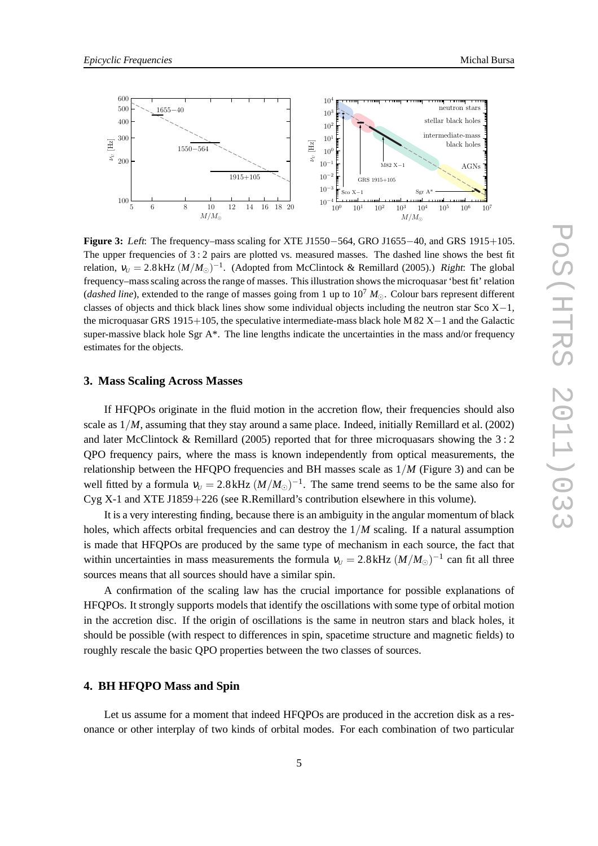

**Figure 3:** Left: The frequency–mass scaling for XTE J1550−564, GRO J1655−40, and GRS 1915+105. The upper frequencies of  $3:2$  pairs are plotted vs. measured masses. The dashed line shows the best fit relation,  $v_U = 2.8$  kHz  $(M/M_{\odot})^{-1}$ . (Adopted from McClintock & Remillard (2005).) Right: The global frequency–mass scaling across the range of masses. This illustration shows the microquasar 'best fit' relation (*dashed line*), extended to the range of masses going from 1 up to 10<sup>7</sup> *M*⊙. Colour bars represent different classes of objects and thick black lines show some individual objects including the neutron star Sco X−1, the microquasar GRS 1915+105, the speculative intermediate-mass black hole M 82 X−1 and the Galactic super-massive black hole Sgr  $A^*$ . The line lengths indicate the uncertainties in the mass and/or frequency estimates for the objects.

#### **3. Mass Scaling Across Masses**

If HFQPOs originate in the fluid motion in the accretion flow, their frequencies should also scale as 1/*M*, assuming that they stay around a same place. Indeed, initially Remillard et al. (2002) and later McClintock & Remillard (2005) reported that for three microquasars showing the 3 : 2 QPO frequency pairs, where the mass is known independently from optical measurements, the relationship between the HFQPO frequencies and BH masses scale as 1/*M* (Figure 3) and can be well fitted by a formula  $v_U = 2.8$  kHz  $(M/M_{\odot})^{-1}$ . The same trend seems to be the same also for Cyg X-1 and XTE J1859+226 (see R.Remillard's contribution elsewhere in this volume).

It is a very interesting finding, because there is an ambiguity in the angular momentum of black holes, which affects orbital frequencies and can destroy the 1/*M* scaling. If a natural assumption is made that HFQPOs are produced by the same type of mechanism in each source, the fact that within uncertainties in mass measurements the formula  $v_U = 2.8$  kHz  $(M/M_{\odot})^{-1}$  can fit all three sources means that all sources should have a similar spin.

A confirmation of the scaling law has the crucial importance for possible explanations of HFQPOs. It strongly supports models that identify the oscillations with some type of orbital motion in the accretion disc. If the origin of oscillations is the same in neutron stars and black holes, it should be possible (with respect to differences in spin, spacetime structure and magnetic fields) to roughly rescale the basic QPO properties between the two classes of sources.

# **4. BH HFQPO Mass and Spin**

Let us assume for a moment that indeed HFQPOs are produced in the accretion disk as a resonance or other interplay of two kinds of orbital modes. For each combination of two particular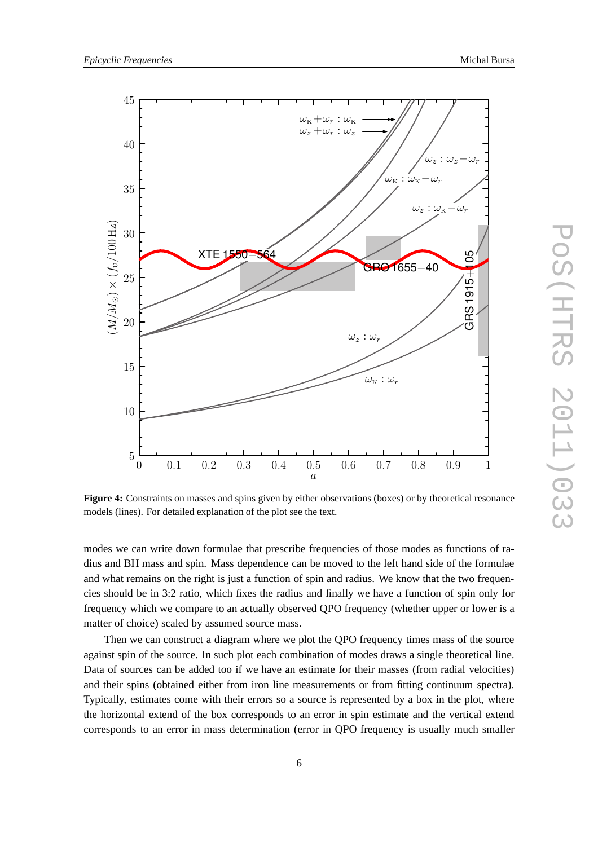

**Figure 4:** Constraints on masses and spins given by either observations (boxes) or by theoretical resonance models (lines). For detailed explanation of the plot see the text.

modes we can write down formulae that prescribe frequencies of those modes as functions of radius and BH mass and spin. Mass dependence can be moved to the left hand side of the formulae and what remains on the right is just a function of spin and radius. We know that the two frequencies should be in 3:2 ratio, which fixes the radius and finally we have a function of spin only for frequency which we compare to an actually observed QPO frequency (whether upper or lower is a matter of choice) scaled by assumed source mass.

Then we can construct a diagram where we plot the QPO frequency times mass of the source against spin of the source. In such plot each combination of modes draws a single theoretical line. Data of sources can be added too if we have an estimate for their masses (from radial velocities) and their spins (obtained either from iron line measurements or from fitting continuum spectra). Typically, estimates come with their errors so a source is represented by a box in the plot, where the horizontal extend of the box corresponds to an error in spin estimate and the vertical extend corresponds to an error in mass determination (error in QPO frequency is usually much smaller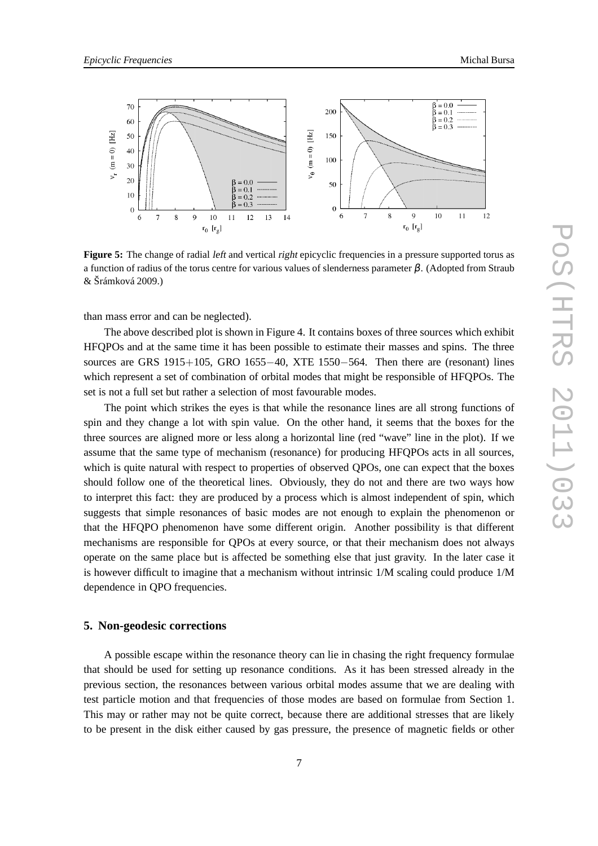

**Figure 5:** The change of radial *left* and vertical *right* epicyclic frequencies in a pressure supported torus as a function of radius of the torus centre for various values of slenderness parameter β. (Adopted from Straub & Šrámková 2009.)

than mass error and can be neglected).

The above described plot is shown in Figure 4. It contains boxes of three sources which exhibit HFQPOs and at the same time it has been possible to estimate their masses and spins. The three sources are GRS 1915+105, GRO 1655−40, XTE 1550−564. Then there are (resonant) lines which represent a set of combination of orbital modes that might be responsible of HFQPOs. The set is not a full set but rather a selection of most favourable modes.

The point which strikes the eyes is that while the resonance lines are all strong functions of spin and they change a lot with spin value. On the other hand, it seems that the boxes for the three sources are aligned more or less along a horizontal line (red "wave" line in the plot). If we assume that the same type of mechanism (resonance) for producing HFQPOs acts in all sources, which is quite natural with respect to properties of observed QPOs, one can expect that the boxes should follow one of the theoretical lines. Obviously, they do not and there are two ways how to interpret this fact: they are produced by a process which is almost independent of spin, which suggests that simple resonances of basic modes are not enough to explain the phenomenon or that the HFQPO phenomenon have some different origin. Another possibility is that different mechanisms are responsible for QPOs at every source, or that their mechanism does not always operate on the same place but is affected be something else that just gravity. In the later case it is however difficult to imagine that a mechanism without intrinsic 1/M scaling could produce 1/M dependence in QPO frequencies.

#### **5. Non-geodesic corrections**

A possible escape within the resonance theory can lie in chasing the right frequency formulae that should be used for setting up resonance conditions. As it has been stressed already in the previous section, the resonances between various orbital modes assume that we are dealing with test particle motion and that frequencies of those modes are based on formulae from Section 1. This may or rather may not be quite correct, because there are additional stresses that are likely to be present in the disk either caused by gas pressure, the presence of magnetic fields or other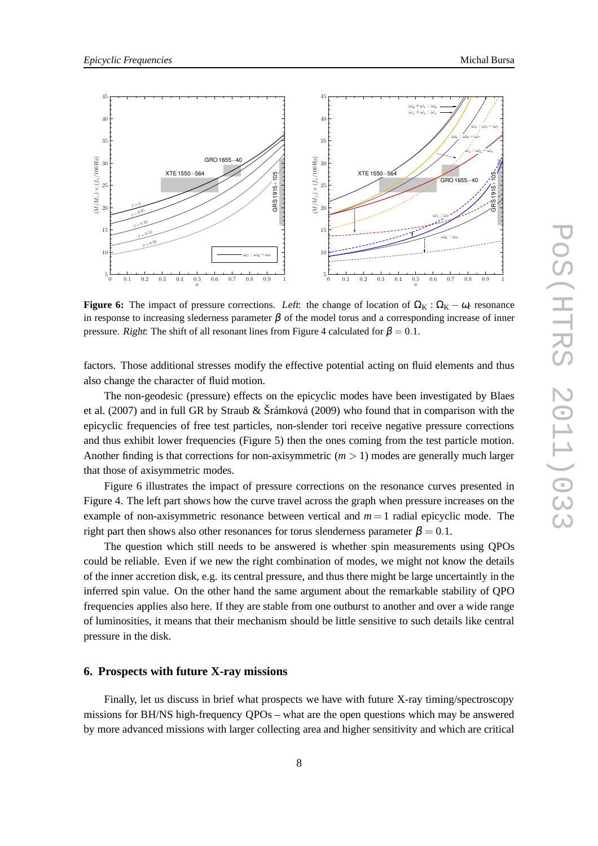



**Figure 6:** The impact of pressure corrections. Left: the change of location of  $\Omega_K : \Omega_K - \omega_r$  resonance in response to increasing slederness parameter  $\beta$  of the model torus and a corresponding increase of inner pressure. Right: The shift of all resonant lines from Figure 4 calculated for  $\beta = 0.1$ .

factors. Those additional stresses modify the effective potential acting on fluid elements and thus also change the character of fluid motion.

The non-geodesic (pressure) effects on the epicyclic modes have been investigated by Blaes et al. (2007) and in full GR by Straub & Šrámková (2009) who found that in comparison with the epicyclic frequencies of free test particles, non-slender tori receive negative pressure corrections and thus exhibit lower frequencies (Figure 5) then the ones coming from the test particle motion. Another finding is that corrections for non-axisymmetric  $(m > 1)$  modes are generally much larger that those of axisymmetric modes.

Figure 6 illustrates the impact of pressure corrections on the resonance curves presented in Figure 4. The left part shows how the curve travel across the graph when pressure increases on the example of non-axisymmetric resonance between vertical and  $m = 1$  radial epicyclic mode. The right part then shows also other resonances for torus slenderness parameter  $\beta = 0.1$ .

The question which still needs to be answered is whether spin measurements using QPOs could be reliable. Even if we new the right combination of modes, we might not know the details of the inner accretion disk, e.g. its central pressure, and thus there might be large uncertaintly in the inferred spin value. On the other hand the same argument about the remarkable stability of QPO frequencies applies also here. If they are stable from one outburst to another and over a wide range of luminosities, it means that their mechanism should be little sensitive to such details like central pressure in the disk.

#### **6. Prospects with future X-ray missions**

Finally, let us discuss in brief what prospects we have with future X-ray timing/spectroscopy missions for BH/NS high-frequency QPOs – what are the open questions which may be answered by more advanced missions with larger collecting area and higher sensitivity and which are critical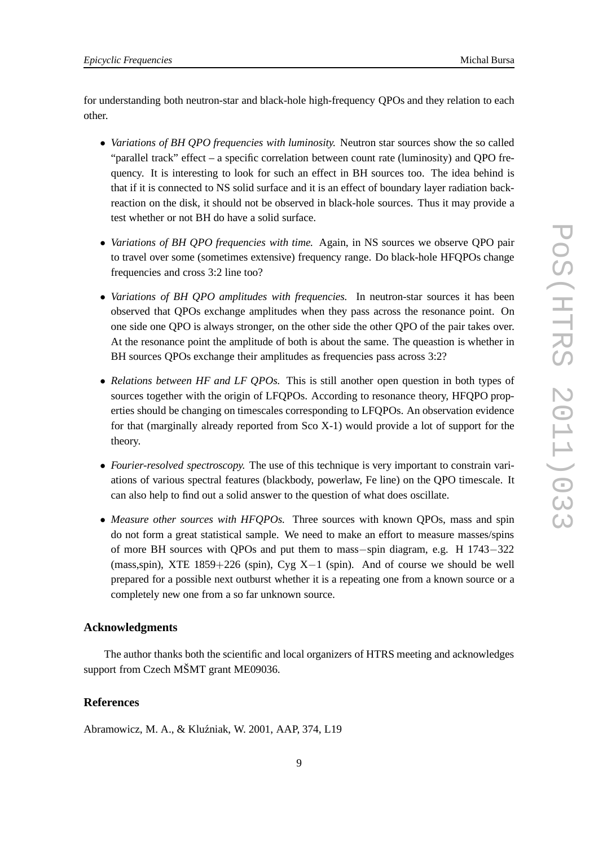for understanding both neutron-star and black-hole high-frequency QPOs and they relation to each other.

- *Variations of BH QPO frequencies with luminosity.* Neutron star sources show the so called "parallel track" effect – a specific correlation between count rate (luminosity) and QPO frequency. It is interesting to look for such an effect in BH sources too. The idea behind is that if it is connected to NS solid surface and it is an effect of boundary layer radiation backreaction on the disk, it should not be observed in black-hole sources. Thus it may provide a test whether or not BH do have a solid surface.
- *Variations of BH QPO frequencies with time.* Again, in NS sources we observe QPO pair to travel over some (sometimes extensive) frequency range. Do black-hole HFQPOs change frequencies and cross 3:2 line too?
- *Variations of BH QPO amplitudes with frequencies.* In neutron-star sources it has been observed that QPOs exchange amplitudes when they pass across the resonance point. On one side one QPO is always stronger, on the other side the other QPO of the pair takes over. At the resonance point the amplitude of both is about the same. The queastion is whether in BH sources QPOs exchange their amplitudes as frequencies pass across 3:2?
- *Relations between HF and LF QPOs.* This is still another open question in both types of sources together with the origin of LFQPOs. According to resonance theory, HFQPO properties should be changing on timescales corresponding to LFQPOs. An observation evidence for that (marginally already reported from Sco X-1) would provide a lot of support for the theory.
- *Fourier-resolved spectroscopy*. The use of this technique is very important to constrain variations of various spectral features (blackbody, powerlaw, Fe line) on the QPO timescale. It can also help to find out a solid answer to the question of what does oscillate.
- *Measure other sources with HFQPOs.* Three sources with known QPOs, mass and spin do not form a great statistical sample. We need to make an effort to measure masses/spins of more BH sources with QPOs and put them to mass−spin diagram, e.g. H 1743−322 (mass,spin), XTE  $1859+226$  (spin), Cyg X-1 (spin). And of course we should be well prepared for a possible next outburst whether it is a repeating one from a known source or a completely new one from a so far unknown source.

#### **Acknowledgments**

The author thanks both the scientific and local organizers of HTRS meeting and acknowledges support from Czech MŠMT grant ME09036.

# **References**

Abramowicz, M. A., & Kluźniak, W. 2001, AAP, 374, L19